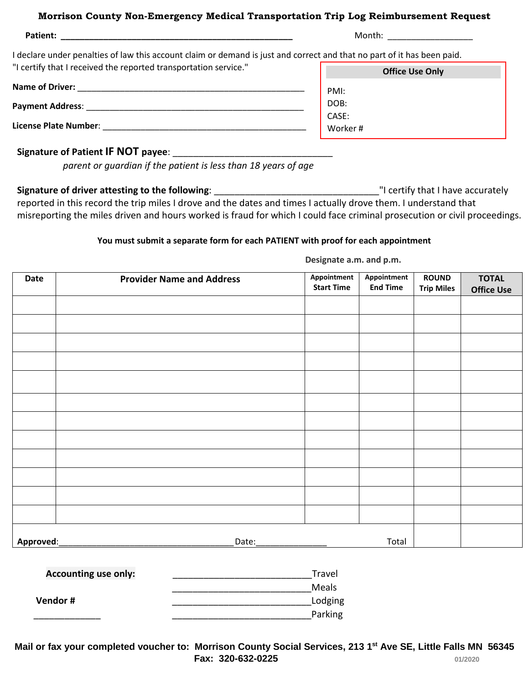#### **Morrison County Non-Emergency Medical Transportation Trip Log Reimbursement Request**

| Patient:                                                                                                                | Month:                 |  |  |
|-------------------------------------------------------------------------------------------------------------------------|------------------------|--|--|
| I declare under penalties of law this account claim or demand is just and correct and that no part of it has been paid. |                        |  |  |
| "I certify that I received the reported transportation service."                                                        | <b>Office Use Only</b> |  |  |
| <b>Name of Driver:</b>                                                                                                  | PMI:                   |  |  |
| <b>Payment Address:</b>                                                                                                 | DOB:                   |  |  |
|                                                                                                                         | CASE:                  |  |  |
| <b>License Plate Number:</b>                                                                                            | Worker#                |  |  |

#### **Signature of Patient IF NOT payee:**

*parent or guardian if the patient is less than 18 years of age*

**Signature of driver attesting to the following**: \_\_\_\_\_\_\_\_\_\_\_\_\_\_\_\_\_\_\_\_\_\_\_\_\_\_\_\_\_\_\_\_"I certify that I have accurately reported in this record the trip miles I drove and the dates and times I actually drove them. I understand that misreporting the miles driven and hours worked is fraud for which I could face criminal prosecution or civil proceedings.

#### **You must submit a separate form for each PATIENT with proof for each appointment**

**Designate a.m. and p.m.**

| Date      | <b>Provider Name and Address</b> | Appointment<br><b>Start Time</b> | Appointment<br><b>End Time</b> | <b>ROUND</b><br><b>Trip Miles</b> | <b>TOTAL</b><br><b>Office Use</b> |
|-----------|----------------------------------|----------------------------------|--------------------------------|-----------------------------------|-----------------------------------|
|           |                                  |                                  |                                |                                   |                                   |
|           |                                  |                                  |                                |                                   |                                   |
|           |                                  |                                  |                                |                                   |                                   |
|           |                                  |                                  |                                |                                   |                                   |
|           |                                  |                                  |                                |                                   |                                   |
|           |                                  |                                  |                                |                                   |                                   |
|           |                                  |                                  |                                |                                   |                                   |
|           |                                  |                                  |                                |                                   |                                   |
|           |                                  |                                  |                                |                                   |                                   |
|           |                                  |                                  |                                |                                   |                                   |
|           |                                  |                                  |                                |                                   |                                   |
|           |                                  |                                  |                                |                                   |                                   |
| Approved: | Date:                            |                                  | Total                          |                                   |                                   |

| Travel  |
|---------|
| Meals   |
| Lodging |
| Parking |
|         |

**Mail or fax your completed voucher to: Morrison County Social Services, 213 1st Ave SE, Little Falls MN 56345 Fax: 320-632-0225 1/2020 1/2020**